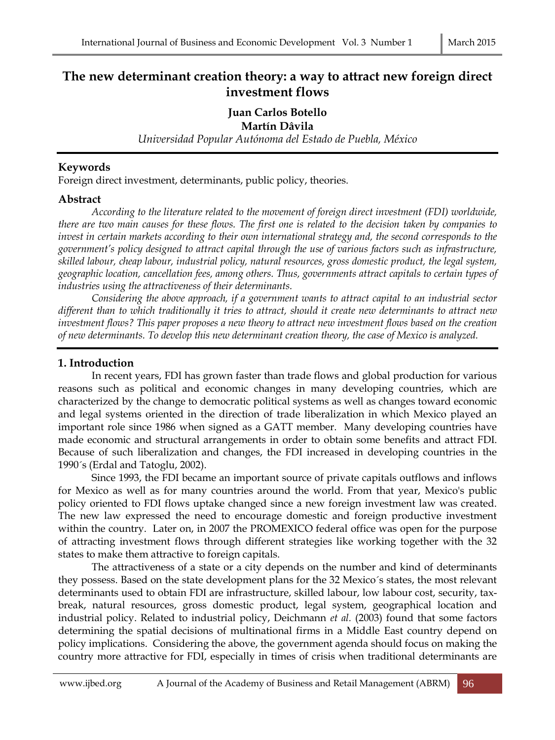# **The new determinant creation theory: a way to attract new foreign direct investment flows**

# **Juan Carlos Botello**

#### **Martín Dâvila**

*Universidad Popular Autónoma del Estado de Puebla, México*

#### **Keywords**

Foreign direct investment, determinants, public policy, theories.

#### **Abstract**

*According to the literature related to the movement of foreign direct investment (FDI) worldwide, there are two main causes for these flows. The first one is related to the decision taken by companies to invest in certain markets according to their own international strategy and, the second corresponds to the government's policy designed to attract capital through the use of various factors such as infrastructure, skilled labour, cheap labour, industrial policy, natural resources, gross domestic product, the legal system, geographic location, cancellation fees, among others. Thus, governments attract capitals to certain types of industries using the attractiveness of their determinants.* 

*Considering the above approach, if a government wants to attract capital to an industrial sector different than to which traditionally it tries to attract, should it create new determinants to attract new investment flows? This paper proposes a new theory to attract new investment flows based on the creation of new determinants. To develop this new determinant creation theory, the case of Mexico is analyzed.* 

### **1. Introduction**

In recent years, FDI has grown faster than trade flows and global production for various reasons such as political and economic changes in many developing countries, which are characterized by the change to democratic political systems as well as changes toward economic and legal systems oriented in the direction of trade liberalization in which Mexico played an important role since 1986 when signed as a GATT member. Many developing countries have made economic and structural arrangements in order to obtain some benefits and attract FDI. Because of such liberalization and changes, the FDI increased in developing countries in the 1990´s (Erdal and Tatoglu, 2002).

Since 1993, the FDI became an important source of private capitals outflows and inflows for Mexico as well as for many countries around the world. From that year, Mexico's public policy oriented to FDI flows uptake changed since a new foreign investment law was created. The new law expressed the need to encourage domestic and foreign productive investment within the country. Later on, in 2007 the PROMEXICO federal office was open for the purpose of attracting investment flows through different strategies like working together with the 32 states to make them attractive to foreign capitals.

The attractiveness of a state or a city depends on the number and kind of determinants they possess. Based on the state development plans for the 32 Mexico´s states, the most relevant determinants used to obtain FDI are infrastructure, skilled labour, low labour cost, security, taxbreak, natural resources, gross domestic product, legal system, geographical location and industrial policy. Related to industrial policy, Deichmann *et al.* (2003) found that some factors determining the spatial decisions of multinational firms in a Middle East country depend on policy implications. Considering the above, the government agenda should focus on making the country more attractive for FDI, especially in times of crisis when traditional determinants are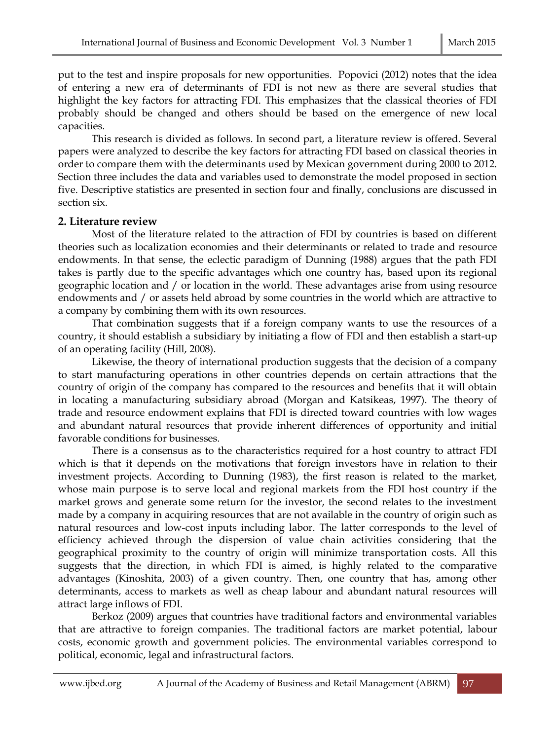put to the test and inspire proposals for new opportunities. Popovici (2012) notes that the idea of entering a new era of determinants of FDI is not new as there are several studies that highlight the key factors for attracting FDI. This emphasizes that the classical theories of FDI probably should be changed and others should be based on the emergence of new local capacities.

This research is divided as follows. In second part, a literature review is offered. Several papers were analyzed to describe the key factors for attracting FDI based on classical theories in order to compare them with the determinants used by Mexican government during 2000 to 2012. Section three includes the data and variables used to demonstrate the model proposed in section five. Descriptive statistics are presented in section four and finally, conclusions are discussed in section six.

### **2. Literature review**

Most of the literature related to the attraction of FDI by countries is based on different theories such as localization economies and their determinants or related to trade and resource endowments. In that sense, the eclectic paradigm of Dunning (1988) argues that the path FDI takes is partly due to the specific advantages which one country has, based upon its regional geographic location and / or location in the world. These advantages arise from using resource endowments and / or assets held abroad by some countries in the world which are attractive to a company by combining them with its own resources.

That combination suggests that if a foreign company wants to use the resources of a country, it should establish a subsidiary by initiating a flow of FDI and then establish a start-up of an operating facility (Hill, 2008).

Likewise, the theory of international production suggests that the decision of a company to start manufacturing operations in other countries depends on certain attractions that the country of origin of the company has compared to the resources and benefits that it will obtain in locating a manufacturing subsidiary abroad (Morgan and Katsikeas, 1997). The theory of trade and resource endowment explains that FDI is directed toward countries with low wages and abundant natural resources that provide inherent differences of opportunity and initial favorable conditions for businesses.

There is a consensus as to the characteristics required for a host country to attract FDI which is that it depends on the motivations that foreign investors have in relation to their investment projects. According to Dunning (1983), the first reason is related to the market, whose main purpose is to serve local and regional markets from the FDI host country if the market grows and generate some return for the investor, the second relates to the investment made by a company in acquiring resources that are not available in the country of origin such as natural resources and low-cost inputs including labor. The latter corresponds to the level of efficiency achieved through the dispersion of value chain activities considering that the geographical proximity to the country of origin will minimize transportation costs. All this suggests that the direction, in which FDI is aimed, is highly related to the comparative advantages (Kinoshita, 2003) of a given country. Then, one country that has, among other determinants, access to markets as well as cheap labour and abundant natural resources will attract large inflows of FDI.

Berkoz (2009) argues that countries have traditional factors and environmental variables that are attractive to foreign companies. The traditional factors are market potential, labour costs, economic growth and government policies. The environmental variables correspond to political, economic, legal and infrastructural factors.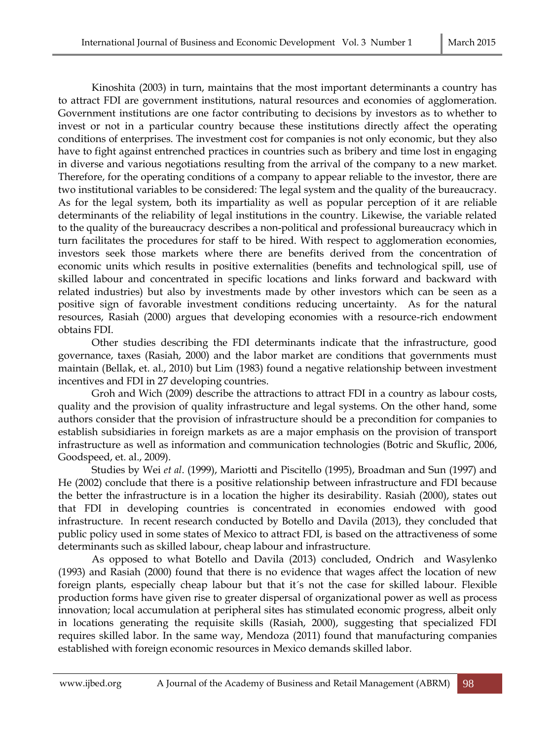Kinoshita (2003) in turn, maintains that the most important determinants a country has to attract FDI are government institutions, natural resources and economies of agglomeration. Government institutions are one factor contributing to decisions by investors as to whether to invest or not in a particular country because these institutions directly affect the operating conditions of enterprises. The investment cost for companies is not only economic, but they also have to fight against entrenched practices in countries such as bribery and time lost in engaging in diverse and various negotiations resulting from the arrival of the company to a new market. Therefore, for the operating conditions of a company to appear reliable to the investor, there are two institutional variables to be considered: The legal system and the quality of the bureaucracy. As for the legal system, both its impartiality as well as popular perception of it are reliable determinants of the reliability of legal institutions in the country. Likewise, the variable related to the quality of the bureaucracy describes a non-political and professional bureaucracy which in turn facilitates the procedures for staff to be hired. With respect to agglomeration economies, investors seek those markets where there are benefits derived from the concentration of economic units which results in positive externalities (benefits and technological spill, use of skilled labour and concentrated in specific locations and links forward and backward with related industries) but also by investments made by other investors which can be seen as a positive sign of favorable investment conditions reducing uncertainty. As for the natural resources, Rasiah (2000) argues that developing economies with a resource-rich endowment obtains FDI.

Other studies describing the FDI determinants indicate that the infrastructure, good governance, taxes (Rasiah, 2000) and the labor market are conditions that governments must maintain (Bellak, et. al., 2010) but Lim (1983) found a negative relationship between investment incentives and FDI in 27 developing countries.

Groh and Wich (2009) describe the attractions to attract FDI in a country as labour costs, quality and the provision of quality infrastructure and legal systems. On the other hand, some authors consider that the provision of infrastructure should be a precondition for companies to establish subsidiaries in foreign markets as are a major emphasis on the provision of transport infrastructure as well as information and communication technologies (Botric and Skuflic, 2006, Goodspeed, et. al., 2009).

Studies by Wei *et al*. (1999), Mariotti and Piscitello (1995), Broadman and Sun (1997) and He (2002) conclude that there is a positive relationship between infrastructure and FDI because the better the infrastructure is in a location the higher its desirability. Rasiah (2000), states out that FDI in developing countries is concentrated in economies endowed with good infrastructure. In recent research conducted by Botello and Davila (2013), they concluded that public policy used in some states of Mexico to attract FDI, is based on the attractiveness of some determinants such as skilled labour, cheap labour and infrastructure.

As opposed to what Botello and Davila (2013) concluded, Ondrich and Wasylenko (1993) and Rasiah (2000) found that there is no evidence that wages affect the location of new foreign plants, especially cheap labour but that it´s not the case for skilled labour. Flexible production forms have given rise to greater dispersal of organizational power as well as process innovation; local accumulation at peripheral sites has stimulated economic progress, albeit only in locations generating the requisite skills (Rasiah, 2000), suggesting that specialized FDI requires skilled labor. In the same way, Mendoza (2011) found that manufacturing companies established with foreign economic resources in Mexico demands skilled labor.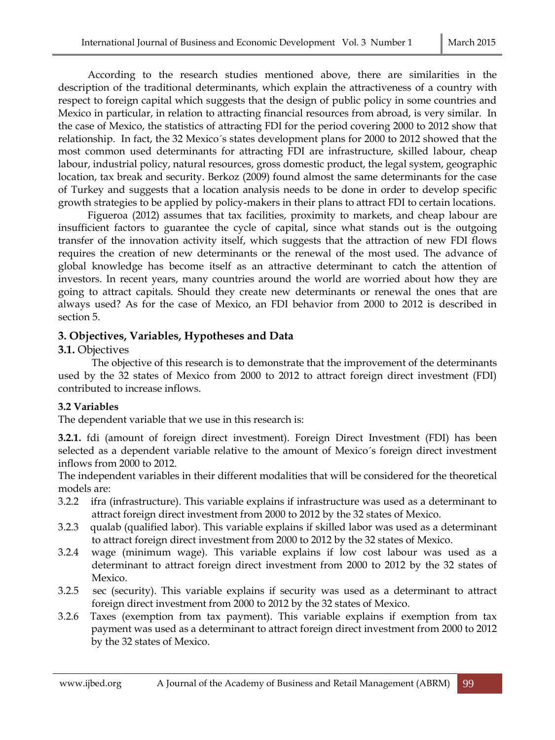According to the research studies mentioned above, there are similarities in the description of the traditional determinants, which explain the attractiveness of a country with respect to foreign capital which suggests that the design of public policy in some countries and Mexico in particular, in relation to attracting financial resources from abroad, is very similar. In the case of Mexico, the statistics of attracting FDI for the period covering 2000 to 2012 show that relationship. In fact, the 32 Mexico´s states development plans for 2000 to 2012 showed that the most common used determinants for attracting FDI are infrastructure, skilled labour, cheap labour, industrial policy, natural resources, gross domestic product, the legal system, geographic location, tax break and security. Berkoz (2009) found almost the same determinants for the case of Turkey and suggests that a location analysis needs to be done in order to develop specific growth strategies to be applied by policy-makers in their plans to attract FDI to certain locations.

Figueroa (2012) assumes that tax facilities, proximity to markets, and cheap labour are insufficient factors to guarantee the cycle of capital, since what stands out is the outgoing transfer of the innovation activity itself, which suggests that the attraction of new FDI flows requires the creation of new determinants or the renewal of the most used. The advance of global knowledge has become itself as an attractive determinant to catch the attention of investors. In recent years, many countries around the world are worried about how they are going to attract capitals. Should they create new determinants or renewal the ones that are always used? As for the case of Mexico, an FDI behavior from 2000 to 2012 is described in section 5.

# **3. Objectives, Variables, Hypotheses and Data**

# **3.1.** Objectives

The objective of this research is to demonstrate that the improvement of the determinants used by the 32 states of Mexico from 2000 to 2012 to attract foreign direct investment (FDI) contributed to increase inflows.

# **3.2 Variables**

The dependent variable that we use in this research is:

**3.2.1.** fdi (amount of foreign direct investment). Foreign Direct Investment (FDI) has been selected as a dependent variable relative to the amount of Mexico´s foreign direct investment inflows from 2000 to 2012.

The independent variables in their different modalities that will be considered for the theoretical models are:

- 3.2.2 ifra (infrastructure). This variable explains if infrastructure was used as a determinant to attract foreign direct investment from 2000 to 2012 by the 32 states of Mexico.
- 3.2.3 qualab (qualified labor). This variable explains if skilled labor was used as a determinant to attract foreign direct investment from 2000 to 2012 by the 32 states of Mexico.
- 3.2.4 wage (minimum wage). This variable explains if low cost labour was used as a determinant to attract foreign direct investment from 2000 to 2012 by the 32 states of Mexico.
- 3.2.5 sec (security). This variable explains if security was used as a determinant to attract foreign direct investment from 2000 to 2012 by the 32 states of Mexico.
- 3.2.6 Taxes (exemption from tax payment). This variable explains if exemption from tax payment was used as a determinant to attract foreign direct investment from 2000 to 2012 by the 32 states of Mexico.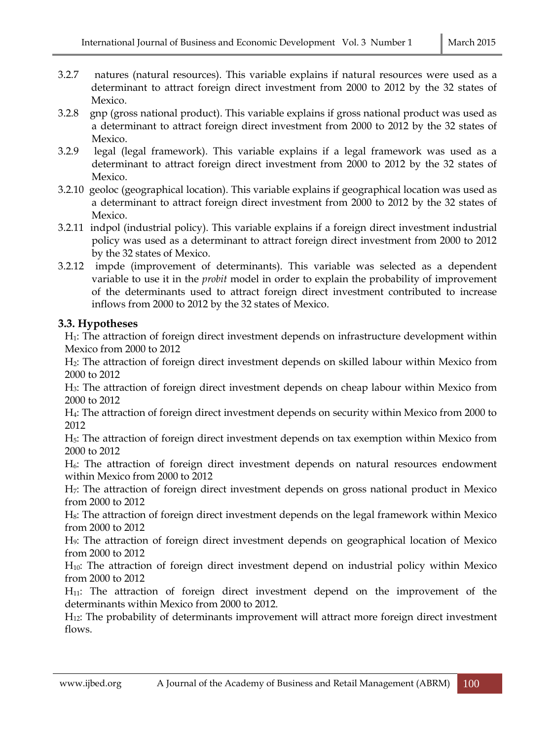- 3.2.7 natures (natural resources). This variable explains if natural resources were used as a determinant to attract foreign direct investment from 2000 to 2012 by the 32 states of Mexico.
- 3.2.8 gnp (gross national product). This variable explains if gross national product was used as a determinant to attract foreign direct investment from 2000 to 2012 by the 32 states of Mexico.
- 3.2.9 legal (legal framework). This variable explains if a legal framework was used as a determinant to attract foreign direct investment from 2000 to 2012 by the 32 states of Mexico.
- 3.2.10 geoloc (geographical location). This variable explains if geographical location was used as a determinant to attract foreign direct investment from 2000 to 2012 by the 32 states of Mexico.
- 3.2.11 indpol (industrial policy). This variable explains if a foreign direct investment industrial policy was used as a determinant to attract foreign direct investment from 2000 to 2012 by the 32 states of Mexico.
- 3.2.12 impde (improvement of determinants). This variable was selected as a dependent variable to use it in the *probit* model in order to explain the probability of improvement of the determinants used to attract foreign direct investment contributed to increase inflows from 2000 to 2012 by the 32 states of Mexico.

### **3.3. Hypotheses**

H1: The attraction of foreign direct investment depends on infrastructure development within Mexico from 2000 to 2012

H2: The attraction of foreign direct investment depends on skilled labour within Mexico from 2000 to 2012

H3: The attraction of foreign direct investment depends on cheap labour within Mexico from 2000 to 2012

H4: The attraction of foreign direct investment depends on security within Mexico from 2000 to 2012

H5: The attraction of foreign direct investment depends on tax exemption within Mexico from 2000 to 2012

 $H<sub>6</sub>$ : The attraction of foreign direct investment depends on natural resources endowment within Mexico from 2000 to 2012

H7: The attraction of foreign direct investment depends on gross national product in Mexico from 2000 to 2012

H8: The attraction of foreign direct investment depends on the legal framework within Mexico from 2000 to 2012

H9: The attraction of foreign direct investment depends on geographical location of Mexico from 2000 to 2012

H<sub>10</sub>: The attraction of foreign direct investment depend on industrial policy within Mexico from 2000 to 2012

H11: The attraction of foreign direct investment depend on the improvement of the determinants within Mexico from 2000 to 2012.

H12: The probability of determinants improvement will attract more foreign direct investment flows.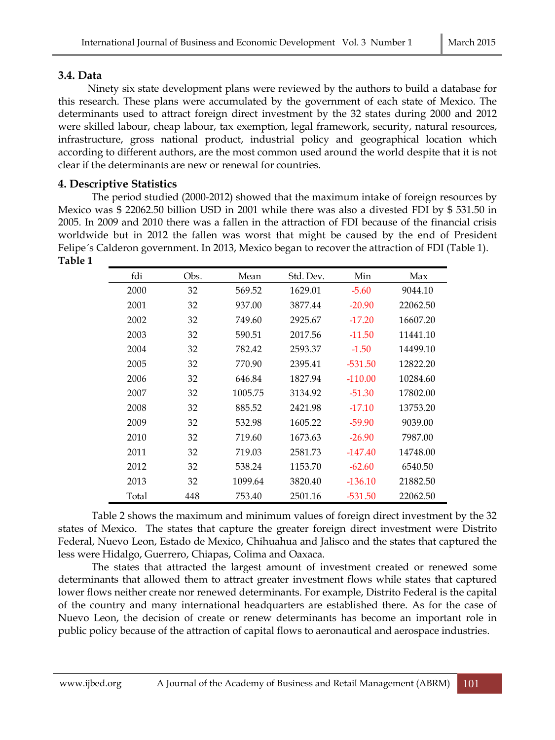# **3.4. Data**

Ninety six state development plans were reviewed by the authors to build a database for this research. These plans were accumulated by the government of each state of Mexico. The determinants used to attract foreign direct investment by the 32 states during 2000 and 2012 were skilled labour, cheap labour, tax exemption, legal framework, security, natural resources, infrastructure, gross national product, industrial policy and geographical location which according to different authors, are the most common used around the world despite that it is not clear if the determinants are new or renewal for countries.

# **4. Descriptive Statistics**

The period studied (2000-2012) showed that the maximum intake of foreign resources by Mexico was \$ 22062.50 billion USD in 2001 while there was also a divested FDI by \$ 531.50 in 2005. In 2009 and 2010 there was a fallen in the attraction of FDI because of the financial crisis worldwide but in 2012 the fallen was worst that might be caused by the end of President Felipe´s Calderon government. In 2013, Mexico began to recover the attraction of FDI (Table 1). **Table 1**

| fdi   | Obs. | Mean    | Std. Dev. | Min       | Max      |
|-------|------|---------|-----------|-----------|----------|
| 2000  | 32   | 569.52  | 1629.01   | $-5.60$   | 9044.10  |
| 2001  | 32   | 937.00  | 3877.44   | $-20.90$  | 22062.50 |
| 2002  | 32   | 749.60  | 2925.67   | $-17.20$  | 16607.20 |
| 2003  | 32   | 590.51  | 2017.56   | $-11.50$  | 11441.10 |
| 2004  | 32   | 782.42  | 2593.37   | $-1.50$   | 14499.10 |
| 2005  | 32   | 770.90  | 2395.41   | $-531.50$ | 12822.20 |
| 2006  | 32   | 646.84  | 1827.94   | $-110.00$ | 10284.60 |
| 2007  | 32   | 1005.75 | 3134.92   | $-51.30$  | 17802.00 |
| 2008  | 32   | 885.52  | 2421.98   | $-17.10$  | 13753.20 |
| 2009  | 32   | 532.98  | 1605.22   | $-59.90$  | 9039.00  |
| 2010  | 32   | 719.60  | 1673.63   | $-26.90$  | 7987.00  |
| 2011  | 32   | 719.03  | 2581.73   | $-147.40$ | 14748.00 |
| 2012  | 32   | 538.24  | 1153.70   | $-62.60$  | 6540.50  |
| 2013  | 32   | 1099.64 | 3820.40   | $-136.10$ | 21882.50 |
| Total | 448  | 753.40  | 2501.16   | $-531.50$ | 22062.50 |

Table 2 shows the maximum and minimum values of foreign direct investment by the 32 states of Mexico. The states that capture the greater foreign direct investment were Distrito Federal, Nuevo Leon, Estado de Mexico, Chihuahua and Jalisco and the states that captured the less were Hidalgo, Guerrero, Chiapas, Colima and Oaxaca.

The states that attracted the largest amount of investment created or renewed some determinants that allowed them to attract greater investment flows while states that captured lower flows neither create nor renewed determinants. For example, Distrito Federal is the capital of the country and many international headquarters are established there. As for the case of Nuevo Leon, the decision of create or renew determinants has become an important role in public policy because of the attraction of capital flows to aeronautical and aerospace industries.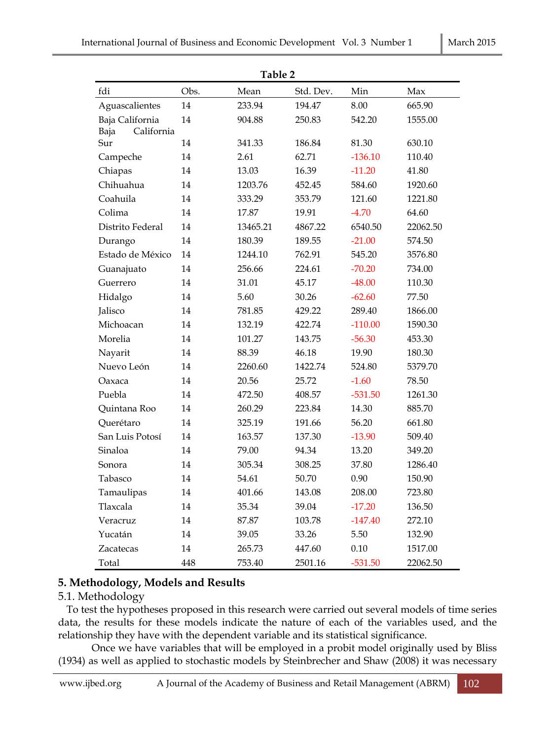|                    |      | Table 2  |           |           |          |
|--------------------|------|----------|-----------|-----------|----------|
| fdi                | Obs. | Mean     | Std. Dev. | Min       | Max      |
| Aguascalientes     | 14   | 233.94   | 194.47    | 8.00      | 665.90   |
| Baja California    | 14   | 904.88   | 250.83    | 542.20    | 1555.00  |
| California<br>Baja |      |          |           |           |          |
| Sur                | 14   | 341.33   | 186.84    | 81.30     | 630.10   |
| Campeche           | 14   | 2.61     | 62.71     | $-136.10$ | 110.40   |
| Chiapas            | 14   | 13.03    | 16.39     | $-11.20$  | 41.80    |
| Chihuahua          | 14   | 1203.76  | 452.45    | 584.60    | 1920.60  |
| Coahuila           | 14   | 333.29   | 353.79    | 121.60    | 1221.80  |
| Colima             | 14   | 17.87    | 19.91     | $-4.70$   | 64.60    |
| Distrito Federal   | 14   | 13465.21 | 4867.22   | 6540.50   | 22062.50 |
| Durango            | 14   | 180.39   | 189.55    | $-21.00$  | 574.50   |
| Estado de México   | 14   | 1244.10  | 762.91    | 545.20    | 3576.80  |
| Guanajuato         | 14   | 256.66   | 224.61    | $-70.20$  | 734.00   |
| Guerrero           | 14   | 31.01    | 45.17     | $-48.00$  | 110.30   |
| Hidalgo            | 14   | 5.60     | 30.26     | $-62.60$  | 77.50    |
| Jalisco            | 14   | 781.85   | 429.22    | 289.40    | 1866.00  |
| Michoacan          | 14   | 132.19   | 422.74    | $-110.00$ | 1590.30  |
| Morelia            | 14   | 101.27   | 143.75    | $-56.30$  | 453.30   |
| Nayarit            | 14   | 88.39    | 46.18     | 19.90     | 180.30   |
| Nuevo León         | 14   | 2260.60  | 1422.74   | 524.80    | 5379.70  |
| Oaxaca             | 14   | 20.56    | 25.72     | $-1.60$   | 78.50    |
| Puebla             | 14   | 472.50   | 408.57    | $-531.50$ | 1261.30  |
| Quintana Roo       | 14   | 260.29   | 223.84    | 14.30     | 885.70   |
| Querétaro          | 14   | 325.19   | 191.66    | 56.20     | 661.80   |
| San Luis Potosí    | 14   | 163.57   | 137.30    | $-13.90$  | 509.40   |
| Sinaloa            | 14   | 79.00    | 94.34     | 13.20     | 349.20   |
| Sonora             | 14   | 305.34   | 308.25    | 37.80     | 1286.40  |
| Tabasco            | 14   | 54.61    | 50.70     | 0.90      | 150.90   |
| Tamaulipas         | 14   | 401.66   | 143.08    | 208.00    | 723.80   |
| Tlaxcala           | 14   | 35.34    | 39.04     | $-17.20$  | 136.50   |
| Veracruz           | 14   | 87.87    | 103.78    | $-147.40$ | 272.10   |
| Yucatán            | 14   | 39.05    | 33.26     | 5.50      | 132.90   |
| Zacatecas          | 14   | 265.73   | 447.60    | 0.10      | 1517.00  |
| Total              | 448  | 753.40   | 2501.16   | $-531.50$ | 22062.50 |

# **5. Methodology, Models and Results**

# 5.1. Methodology

To test the hypotheses proposed in this research were carried out several models of time series data, the results for these models indicate the nature of each of the variables used, and the relationship they have with the dependent variable and its statistical significance.

Once we have variables that will be employed in a probit model originally used by Bliss (1934) as well as applied to stochastic models by Steinbrecher and Shaw (2008) it was necessary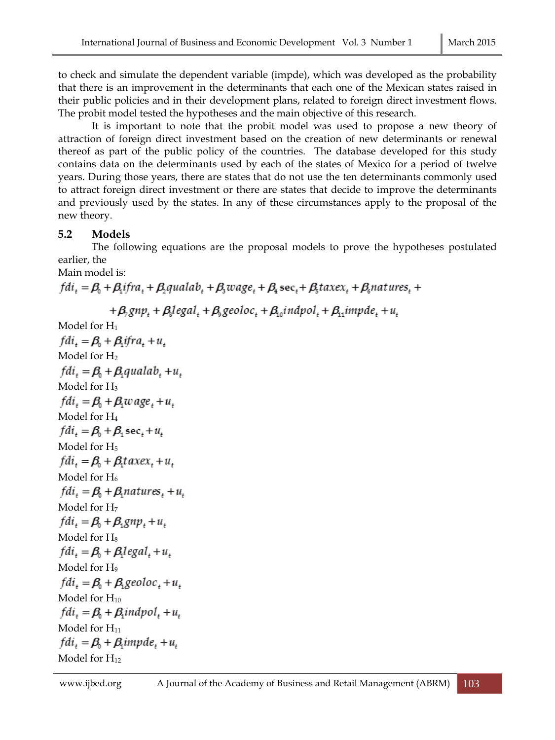to check and simulate the dependent variable (impde), which was developed as the probability that there is an improvement in the determinants that each one of the Mexican states raised in their public policies and in their development plans, related to foreign direct investment flows. The probit model tested the hypotheses and the main objective of this research.

It is important to note that the probit model was used to propose a new theory of attraction of foreign direct investment based on the creation of new determinants or renewal thereof as part of the public policy of the countries. The database developed for this study contains data on the determinants used by each of the states of Mexico for a period of twelve years. During those years, there are states that do not use the ten determinants commonly used to attract foreign direct investment or there are states that decide to improve the determinants and previously used by the states. In any of these circumstances apply to the proposal of the new theory.

# **5.2 Models**

The following equations are the proposal models to prove the hypotheses postulated earlier, the

Main model is:

```
fdi_{\star} = \beta_{0} + \beta_{\star}ifra, + \beta_{\star}qualab, + \beta_{\star}wage, + \beta_{\star} sec, + \beta_{\star}taxex, + \beta_{\star}natures, +
```

```
+\beta_{2}g_{1} + \beta_{3}leg_{1} + \beta_{3}geoloc_{1} + \beta_{1}indpol_{1} + \beta_{1}impde_{1} + u_{1}
```

```
Model for H1
fdi_{\iota} = \beta_{0} + \beta_{\iota}ifra, +u,
Model for H2
fdi_t = \beta_0 + \beta_1qualab<sub>t</sub>+u_tModel for H3
fdi_{\iota} = \beta_0 + \beta_i w \, age_{\iota} + u_{\iota}Model for H4
fdi_{\iota} = \beta_0 + \beta_1 \sec_{\iota} + u_{\iota}Model for H<sub>5</sub>
fdi = \beta_0 + \beta_1 taxex_1 + u_2Model for H_6fdi_{+} = \beta_{0} + \beta_{1}natures, +u,
Model for H7
fdi_{\iota} = \beta_0 + \beta_1 g n p_{\iota} + u_{\iota}Model for H<sub>8</sub>
fdi = \beta_0 + \beta_1 legal + u,Model for H<sub>9</sub>
fdi_{\star} = \beta_0 + \beta_1geoloc, +u,
Model for H_{10}fdi_{+} = \beta_{0} + \beta_{i} \in I + u_{+}Model for H_{11}fdi_{\iota} = \beta_0 + \beta_iimpde, +u,
Model for H<sub>12</sub>
```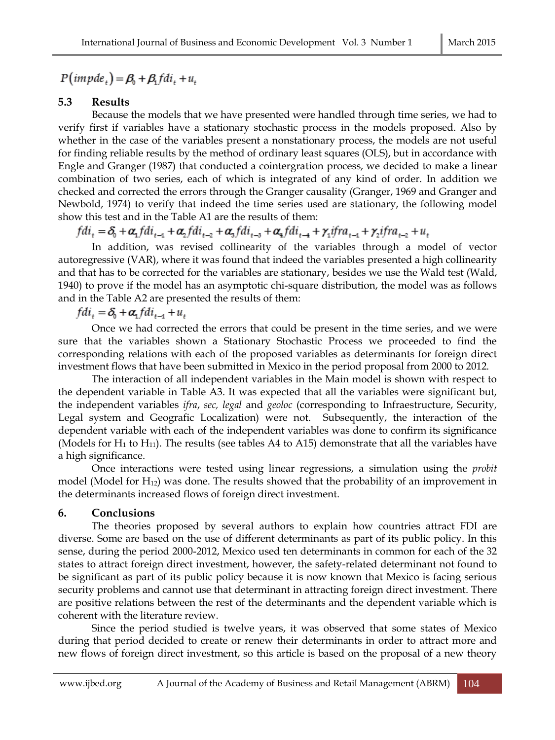$P(impde_{n}) = \beta_{n} + \beta_{n} fdi_{n} + u_{n}$ 

# **5.3 Results**

Because the models that we have presented were handled through time series, we had to verify first if variables have a stationary stochastic process in the models proposed. Also by whether in the case of the variables present a nonstationary process, the models are not useful for finding reliable results by the method of ordinary least squares (OLS), but in accordance with Engle and Granger (1987) that conducted a cointergration process, we decided to make a linear combination of two series, each of which is integrated of any kind of order. In addition we checked and corrected the errors through the Granger causality (Granger, 1969 and Granger and Newbold, 1974) to verify that indeed the time series used are stationary, the following model show this test and in the Table A1 are the results of them:

 $fdi_t = \delta_0 + \alpha_1 fdi_{t-1} + \alpha_2 fdi_{t-2} + \alpha_3 fdi_{t-3} + \alpha_4 fdi_{t-4} + \gamma_1 ifra_{t-1} + \gamma_2 ifra_{t-2} + u_t$ 

In addition, was revised collinearity of the variables through a model of vector autoregressive (VAR), where it was found that indeed the variables presented a high collinearity and that has to be corrected for the variables are stationary, besides we use the Wald test (Wald, 1940) to prove if the model has an asymptotic chi-square distribution, the model was as follows and in the Table A2 are presented the results of them:

 $fdi_{+} = \delta_0 + \alpha_1 fdi_{+1} + u_{+}$ 

Once we had corrected the errors that could be present in the time series, and we were sure that the variables shown a Stationary Stochastic Process we proceeded to find the corresponding relations with each of the proposed variables as determinants for foreign direct investment flows that have been submitted in Mexico in the period proposal from 2000 to 2012.

The interaction of all independent variables in the Main model is shown with respect to the dependent variable in Table A3. It was expected that all the variables were significant but, the independent variables *ifra*, *sec, legal* and *geoloc* (corresponding to Infraestructure, Security, Legal system and Geografic Localization) were not. Subsequently, the interaction of the dependent variable with each of the independent variables was done to confirm its significance (Models for  $H_1$  to  $H_{11}$ ). The results (see tables A4 to A15) demonstrate that all the variables have a high significance.

Once interactions were tested using linear regressions, a simulation using the *probit* model (Model for  $H_{12}$ ) was done. The results showed that the probability of an improvement in the determinants increased flows of foreign direct investment.

# **6. Conclusions**

The theories proposed by several authors to explain how countries attract FDI are diverse. Some are based on the use of different determinants as part of its public policy. In this sense, during the period 2000-2012, Mexico used ten determinants in common for each of the 32 states to attract foreign direct investment, however, the safety-related determinant not found to be significant as part of its public policy because it is now known that Mexico is facing serious security problems and cannot use that determinant in attracting foreign direct investment. There are positive relations between the rest of the determinants and the dependent variable which is coherent with the literature review.

Since the period studied is twelve years, it was observed that some states of Mexico during that period decided to create or renew their determinants in order to attract more and new flows of foreign direct investment, so this article is based on the proposal of a new theory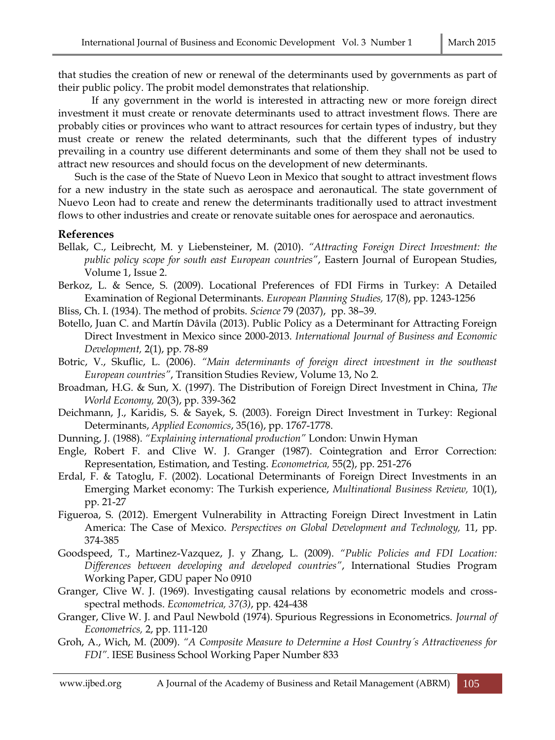that studies the creation of new or renewal of the determinants used by governments as part of their public policy. The probit model demonstrates that relationship.

If any government in the world is interested in attracting new or more foreign direct investment it must create or renovate determinants used to attract investment flows. There are probably cities or provinces who want to attract resources for certain types of industry, but they must create or renew the related determinants, such that the different types of industry prevailing in a country use different determinants and some of them they shall not be used to attract new resources and should focus on the development of new determinants.

Such is the case of the State of Nuevo Leon in Mexico that sought to attract investment flows for a new industry in the state such as aerospace and aeronautical. The state government of Nuevo Leon had to create and renew the determinants traditionally used to attract investment flows to other industries and create or renovate suitable ones for aerospace and aeronautics.

#### **References**

- Bellak, C., Leibrecht, M. y Liebensteiner, M. (2010). *"Attracting Foreign Direct Investment: the public policy scope for south east European countries"*, Eastern Journal of European Studies, Volume 1, Issue 2.
- Berkoz, L. & Sence, S. (2009). Locational Preferences of FDI Firms in Turkey: A Detailed Examination of Regional Determinants. *European Planning Studies,* 17(8), pp. 1243-1256
- Bliss, Ch. I. (1934). The method of probits. *Science* 79 (2037), pp. 38–39.
- Botello, Juan C. and Martín Dâvila (2013). Public Policy as a Determinant for Attracting Foreign Direct Investment in Mexico since 2000-2013. *International Journal of Business and Economic Development,* 2(1), pp. 78-89
- Botric, V., Skuflic, L. (2006). *"Main determinants of foreign direct investment in the southeast European countries"*, Transition Studies Review, Volume 13, No 2.
- Broadman, H.G. & Sun, X. (1997). The Distribution of Foreign Direct Investment in China, *The World Economy,* 20(3), pp. 339-362
- Deichmann, J., Karidis, S. & Sayek, S. (2003). Foreign Direct Investment in Turkey: Regional Determinants, *Applied Economics*, 35(16), pp. 1767-1778.
- Dunning, J. (1988). *"Explaining international production"* London: Unwin Hyman
- Engle, Robert F. and Clive W. J. Granger (1987). Cointegration and Error Correction: Representation, Estimation, and Testing. *Econometrica,* 55(2), pp. 251-276
- Erdal, F. & Tatoglu, F. (2002). Locational Determinants of Foreign Direct Investments in an Emerging Market economy: The Turkish experience, *Multinational Business Review,* 10(1), pp. 21-27
- Figueroa, S. (2012). Emergent Vulnerability in Attracting Foreign Direct Investment in Latin America: The Case of Mexico. *Perspectives on Global Development and Technology,* 11, pp. 374-385
- Goodspeed, T., Martinez-Vazquez, J. y Zhang, L. (2009). *"Public Policies and FDI Location: Differences between developing and developed countries"*, International Studies Program Working Paper, GDU paper No 0910
- Granger, Clive W. J. (1969). Investigating causal relations by econometric models and crossspectral methods. *Econometrica, 37(3)*, pp. 424-438
- Granger, Clive W. J. and Paul Newbold (1974). Spurious Regressions in Econometrics. *Journal of Econometrics,* 2, pp. 111-120
- Groh, A., Wich, M. (2009). *"A Composite Measure to Determine a Host Country´s Attractiveness for FDI".* IESE Business School Working Paper Number 833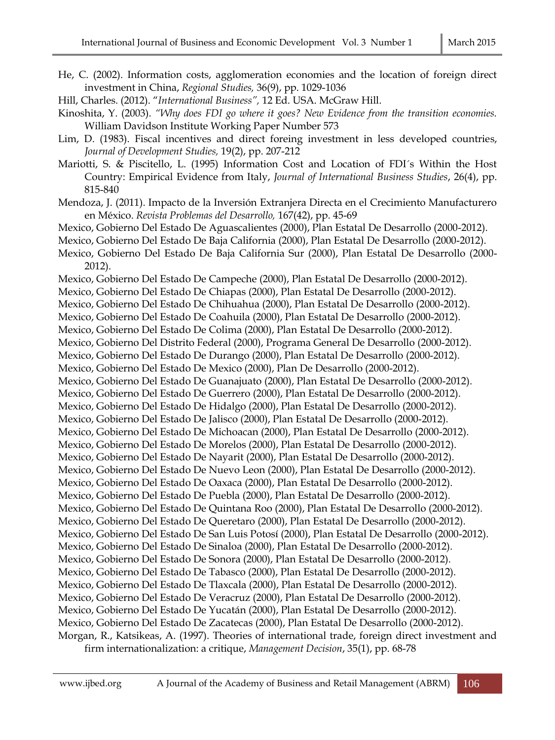- He, C. (2002). Information costs, agglomeration economies and the location of foreign direct investment in China, *Regional Studies,* 36(9), pp. 1029-1036
- Hill, Charles. (2012). "*International Business",* 12 Ed. USA. McGraw Hill.
- Kinoshita, Y. (2003). *"Why does FDI go where it goes? New Evidence from the transition economies.* William Davidson Institute Working Paper Number 573
- Lim, D. (1983). Fiscal incentives and direct foreing investment in less developed countries, *Journal of Development Studies,* 19(2), pp. 207-212
- Mariotti, S. & Piscitello, L. (1995) Information Cost and Location of FDI´s Within the Host Country: Empirical Evidence from Italy, *Journal of International Business Studies*, 26(4), pp. 815-840
- Mendoza, J. (2011). Impacto de la Inversión Extranjera Directa en el Crecimiento Manufacturero en México. *Revista Problemas del Desarrollo,* 167(42), pp. 45-69
- Mexico, Gobierno Del Estado De Aguascalientes (2000), Plan Estatal De Desarrollo (2000-2012).
- Mexico, Gobierno Del Estado De Baja California (2000), Plan Estatal De Desarrollo (2000-2012).
- Mexico, Gobierno Del Estado De Baja California Sur (2000), Plan Estatal De Desarrollo (2000- 2012).
- Mexico, Gobierno Del Estado De Campeche (2000), Plan Estatal De Desarrollo (2000-2012).
- Mexico, Gobierno Del Estado De Chiapas (2000), Plan Estatal De Desarrollo (2000-2012).
- Mexico, Gobierno Del Estado De Chihuahua (2000), Plan Estatal De Desarrollo (2000-2012).
- Mexico, Gobierno Del Estado De Coahuila (2000), Plan Estatal De Desarrollo (2000-2012).
- Mexico, Gobierno Del Estado De Colima (2000), Plan Estatal De Desarrollo (2000-2012).
- Mexico, Gobierno Del Distrito Federal (2000), Programa General De Desarrollo (2000-2012).
- Mexico, Gobierno Del Estado De Durango (2000), Plan Estatal De Desarrollo (2000-2012).
- Mexico, Gobierno Del Estado De Mexico (2000), Plan De Desarrollo (2000-2012).
- Mexico, Gobierno Del Estado De Guanajuato (2000), Plan Estatal De Desarrollo (2000-2012).
- Mexico, Gobierno Del Estado De Guerrero (2000), Plan Estatal De Desarrollo (2000-2012).
- Mexico, Gobierno Del Estado De Hidalgo (2000), Plan Estatal De Desarrollo (2000-2012).
- Mexico, Gobierno Del Estado De Jalisco (2000), Plan Estatal De Desarrollo (2000-2012).
- Mexico, Gobierno Del Estado De Michoacan (2000), Plan Estatal De Desarrollo (2000-2012).
- Mexico, Gobierno Del Estado De Morelos (2000), Plan Estatal De Desarrollo (2000-2012).
- Mexico, Gobierno Del Estado De Nayarit (2000), Plan Estatal De Desarrollo (2000-2012).
- Mexico, Gobierno Del Estado De Nuevo Leon (2000), Plan Estatal De Desarrollo (2000-2012).
- Mexico, Gobierno Del Estado De Oaxaca (2000), Plan Estatal De Desarrollo (2000-2012). Mexico, Gobierno Del Estado De Puebla (2000), Plan Estatal De Desarrollo (2000-2012).
- Mexico, Gobierno Del Estado De Quintana Roo (2000), Plan Estatal De Desarrollo (2000-2012).
- Mexico, Gobierno Del Estado De Queretaro (2000), Plan Estatal De Desarrollo (2000-2012).
- Mexico, Gobierno Del Estado De San Luis Potosí (2000), Plan Estatal De Desarrollo (2000-2012).
- Mexico, Gobierno Del Estado De Sinaloa (2000), Plan Estatal De Desarrollo (2000-2012).

Mexico, Gobierno Del Estado De Sonora (2000), Plan Estatal De Desarrollo (2000-2012).

- Mexico, Gobierno Del Estado De Tabasco (2000), Plan Estatal De Desarrollo (2000-2012).
- Mexico, Gobierno Del Estado De Tlaxcala (2000), Plan Estatal De Desarrollo (2000-2012).
- Mexico, Gobierno Del Estado De Veracruz (2000), Plan Estatal De Desarrollo (2000-2012).
- Mexico, Gobierno Del Estado De Yucatán (2000), Plan Estatal De Desarrollo (2000-2012).
- Mexico, Gobierno Del Estado De Zacatecas (2000), Plan Estatal De Desarrollo (2000-2012).
- Morgan, R., Katsikeas, A. (1997). Theories of international trade, foreign direct investment and firm internationalization: a critique, *Management Decision*, 35(1), pp. 68-78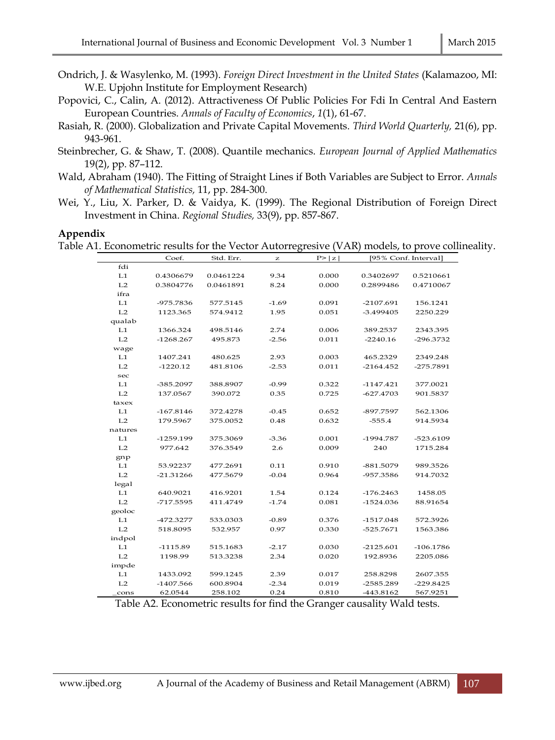- Ondrich, J. & Wasylenko, M. (1993). *Foreign Direct Investment in the United States* (Kalamazoo, MI: W.E. Upjohn Institute for Employment Research)
- Popovici, C., Calin, A. (2012). Attractiveness Of Public Policies For Fdi In Central And Eastern European Countries. *Annals of Faculty of Economics*, *1*(1), 61-67.
- Rasiah, R. (2000). Globalization and Private Capital Movements. *Third World Quarterly,* 21(6), pp. 943-961.
- Steinbrecher, G. & Shaw, T. (2008). Quantile mechanics. *European Journal of Applied Mathematics* 19(2), pp. 87–112.
- Wald, Abraham (1940). The Fitting of Straight Lines if Both Variables are Subject to Error. *Annals of Mathematical Statistics,* 11, pp. 284-300.
- Wei, Y., Liu, X. Parker, D. & Vaidya, K. (1999). The Regional Distribution of Foreign Direct Investment in China. *Regional Studies,* 33(9), pp. 857-867.

#### **Appendix**

Table A1. Econometric results for the Vector Autorregresive (VAR) models, to prove collineality.

|         | Coef.       | Std. Err. | z       | P >  z |             | [95% Conf. Interval] |
|---------|-------------|-----------|---------|--------|-------------|----------------------|
| fdi     |             |           |         |        |             |                      |
| L1      | 0.4306679   | 0.0461224 | 9.34    | 0.000  | 0.3402697   | 0.5210661            |
| L2      | 0.3804776   | 0.0461891 | 8.24    | 0.000  | 0.2899486   | 0.4710067            |
| ifra    |             |           |         |        |             |                      |
| L1      | -975.7836   | 577.5145  | $-1.69$ | 0.091  | -2107.691   | 156.1241             |
| L2      | 1123.365    | 574.9412  | 1.95    | 0.051  | -3.499405   | 2250.229             |
| qualab  |             |           |         |        |             |                      |
| L1      | 1366.324    | 498.5146  | 2.74    | 0.006  | 389.2537    | 2343.395             |
| L2      | $-1268.267$ | 495.873   | $-2.56$ | 0.011  | $-2240.16$  | -296.3732            |
| wage    |             |           |         |        |             |                      |
| L1      | 1407.241    | 480.625   | 2.93    | 0.003  | 465.2329    | 2349.248             |
| L2      | $-1220.12$  | 481.8106  | $-2.53$ | 0.011  | $-2164.452$ | -275.7891            |
| sec     |             |           |         |        |             |                      |
| L1      | -385.2097   | 388.8907  | $-0.99$ | 0.322  | $-1147.421$ | 377.0021             |
| L2      | 137.0567    | 390.072   | 0.35    | 0.725  | -627.4703   | 901.5837             |
| taxex   |             |           |         |        |             |                      |
| L1      | $-167.8146$ | 372.4278  | $-0.45$ | 0.652  | -897.7597   | 562.1306             |
| L2      | 179.5967    | 375.0052  | 0.48    | 0.632  | $-555.4$    | 914.5934             |
| natures |             |           |         |        |             |                      |
| L1      | -1259.199   | 375.3069  | $-3.36$ | 0.001  | -1994.787   | -523.6109            |
| L2      | 977.642     | 376.3549  | 2.6     | 0.009  | 240         | 1715.284             |
| gnp     |             |           |         |        |             |                      |
| L1      | 53.92237    | 477.2691  | 0.11    | 0.910  | -881.5079   | 989.3526             |
| L2      | $-21.31266$ | 477.5679  | $-0.04$ | 0.964  | -957.3586   | 914.7032             |
| legal   |             |           |         |        |             |                      |
| L1      | 640.9021    | 416.9201  | 1.54    | 0.124  | $-176.2463$ | 1458.05              |
| L2      | -717.5595   | 411.4749  | $-1.74$ | 0.081  | $-1524.036$ | 88.91654             |
| geoloc  |             |           |         |        |             |                      |
| L1      | -472.3277   | 533.0303  | $-0.89$ | 0.376  | $-1517.048$ | 572.3926             |
| L2      | 518.8095    | 532.957   | 0.97    | 0.330  | $-525.7671$ | 1563.386             |
| indpol  |             |           |         |        |             |                      |
| L1      | $-1115.89$  | 515.1683  | $-2.17$ | 0.030  | $-2125.601$ | $-106.1786$          |
| L2      | 1198.99     | 513.3238  | 2.34    | 0.020  | 192.8936    | 2205.086             |
| impde   |             |           |         |        |             |                      |
| L1      | 1433.092    | 599.1245  | 2.39    | 0.017  | 258.8298    | 2607.355             |
| L2      | $-1407.566$ | 600.8904  | $-2.34$ | 0.019  | $-2585.289$ | $-229.8425$          |
| cons    | 62.0544     | 258.102   | 0.24    | 0.810  | -443.8162   | 567.9251             |

Table A2. Econometric results for find the Granger causality Wald tests.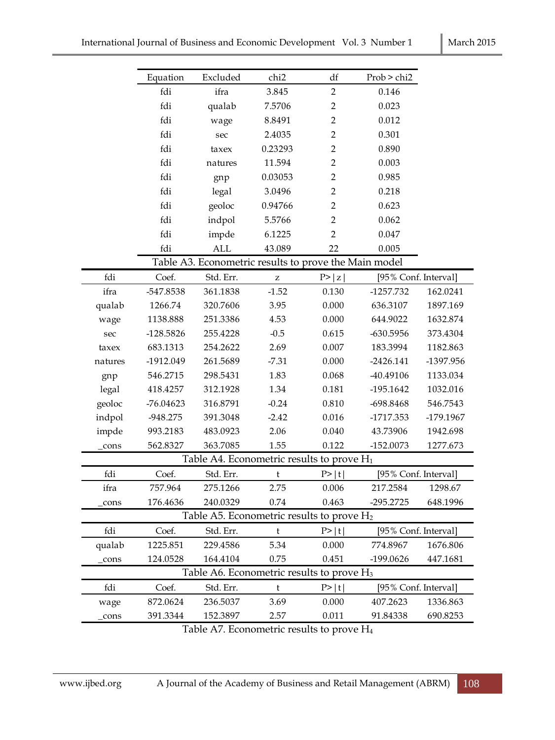|         | Equation    | Excluded   | chi <sub>2</sub>                                      | df             | Prob > chi2          |           |
|---------|-------------|------------|-------------------------------------------------------|----------------|----------------------|-----------|
|         | fdi         | ifra       | 3.845                                                 | $\overline{2}$ | 0.146                |           |
|         | fdi         | qualab     | 7.5706                                                | $\overline{2}$ | 0.023                |           |
|         | fdi         | wage       | 8.8491                                                | $\overline{2}$ | 0.012                |           |
|         | fdi         | sec        | 2.4035                                                | $\overline{2}$ | 0.301                |           |
|         | fdi         | taxex      | 0.23293                                               | $\overline{2}$ | 0.890                |           |
|         | fdi         | natures    | 11.594                                                | $\overline{2}$ | 0.003                |           |
|         | fdi         | gnp        | 0.03053                                               | $\overline{2}$ | 0.985                |           |
|         | fdi         | legal      | 3.0496                                                | $\overline{2}$ | 0.218                |           |
|         | fdi         | geoloc     | 0.94766                                               | $\overline{2}$ | 0.623                |           |
|         | fdi         | indpol     | 5.5766                                                | $\overline{2}$ | 0.062                |           |
|         | fdi         | impde      | 6.1225                                                | $\overline{2}$ | 0.047                |           |
|         | fdi         | <b>ALL</b> | 43.089                                                | 22             | 0.005                |           |
|         |             |            | Table A3. Econometric results to prove the Main model |                |                      |           |
| fdi     | Coef.       | Std. Err.  | Z                                                     | P >  z         | [95% Conf. Interval] |           |
| ifra    | -547.8538   | 361.1838   | $-1.52$                                               | 0.130          | $-1257.732$          | 162.0241  |
| qualab  | 1266.74     | 320.7606   | 3.95                                                  | 0.000          | 636.3107             | 1897.169  |
| wage    | 1138.888    | 251.3386   | 4.53                                                  | 0.000          | 644.9022             | 1632.874  |
| sec     | $-128.5826$ | 255.4228   | $-0.5$                                                | 0.615          | $-630.5956$          | 373.4304  |
| taxex   | 683.1313    | 254.2622   | 2.69                                                  | 0.007          | 183.3994             | 1182.863  |
| natures | -1912.049   | 261.5689   | $-7.31$                                               | 0.000          | $-2426.141$          | -1397.956 |
| gnp     | 546.2715    | 298.5431   | 1.83                                                  | 0.068          | -40.49106            | 1133.034  |
| legal   | 418.4257    | 312.1928   | 1.34                                                  | 0.181          | $-195.1642$          | 1032.016  |
| geoloc  | $-76.04623$ | 316.8791   | $-0.24$                                               | 0.810          | -698.8468            | 546.7543  |
| indpol  | -948.275    | 391.3048   | $-2.42$                                               | 0.016          | -1717.353            | -179.1967 |
| impde   | 993.2183    | 483.0923   | 2.06                                                  | 0.040          | 43.73906             | 1942.698  |
| cons    | 562.8327    | 363.7085   | 1.55                                                  | 0.122          | -152.0073            | 1277.673  |
|         |             |            | Table A4. Econometric results to prove H <sub>1</sub> |                |                      |           |
| fdi     | Coef.       | Std. Err.  | t                                                     | P >  t         | [95% Conf. Interval] |           |
| ifra    | 757.964     | 275.1266   | 2.75                                                  | 0.006          | 217.2584             | 1298.67   |
| cons    | 176.4636    | 240.0329   | 0.74                                                  | 0.463          | -295.2725            | 648.1996  |
|         |             |            | Table A5. Econometric results to prove $H_2$          |                |                      |           |
| fdi     | Coef.       | Std. Err.  | $\mathsf t$                                           | P >  t         | [95% Conf. Interval] |           |
| qualab  | 1225.851    | 229.4586   | 5.34                                                  | 0.000          | 774.8967             | 1676.806  |
| cons    | 124.0528    | 164.4104   | 0.75                                                  | 0.451          | -199.0626            | 447.1681  |
|         |             |            | Table A6. Econometric results to prove $H_3$          |                |                      |           |
| fdi     | Coef.       | Std. Err.  | t                                                     | P> t           | [95% Conf. Interval] |           |
| wage    | 872.0624    | 236.5037   | 3.69                                                  | 0.000          | 407.2623             | 1336.863  |
| cons    | 391.3344    | 152.3897   | 2.57                                                  | 0.011          | 91.84338             | 690.8253  |

Table A7. Econometric results to prove H4